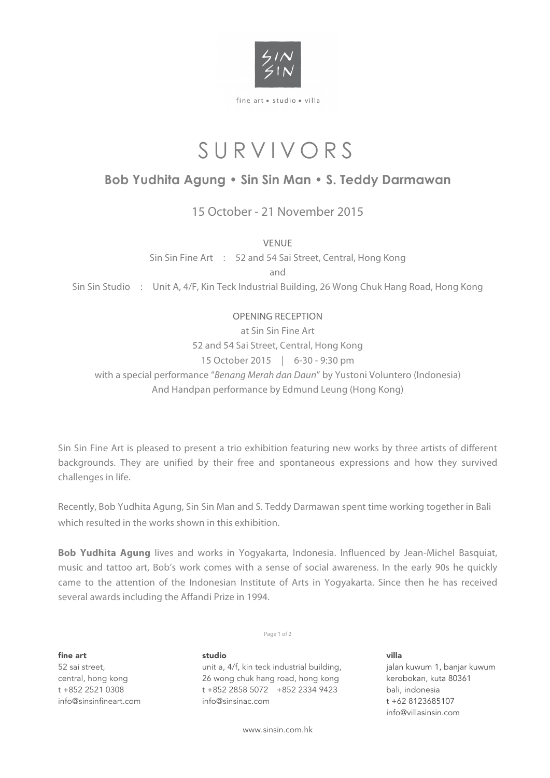

fine art = studio = villa

# SURVIVORS

## **Bob Yudhita Agung • Sin Sin Man • S. Teddy Darmawan**

15 October - 21 November 2015

VENUE

Sin Sin Fine Art : 52 and 54 Sai Street, Central, Hong Kong

and

Sin Sin Studio : Unit A, 4/F, Kin Teck Industrial Building, 26 Wong Chuk Hang Road, Hong Kong

## OPENING RECEPTION

at Sin Sin Fine Art 52 and 54 Sai Street, Central, Hong Kong 15 October 2015 | 6-30 - 9:30 pm with a special performance "*Benang Merah dan Daun*" by Yustoni Voluntero (Indonesia) And Handpan performance by Edmund Leung (Hong Kong)

Sin Sin Fine Art is pleased to present a trio exhibition featuring new works by three artists of different backgrounds. They are unified by their free and spontaneous expressions and how they survived challenges in life.

Recently, Bob Yudhita Agung, Sin Sin Man and S. Teddy Darmawan spent time working together in Bali which resulted in the works shown in this exhibition.

**Bob Yudhita Agung** lives and works in Yogyakarta, Indonesia. Influenced by Jean-Michel Basquiat, music and tattoo art, Bob's work comes with a sense of social awareness. In the early 90s he quickly came to the attention of the Indonesian Institute of Arts in Yogyakarta. Since then he has received several awards including the Affandi Prize in 1994.

Page 1 of 2

fine art 52 sai street, central, hong kong t +852 2521 0308 info@sinsinfineart.com

unit a, 4/f, kin teck industrial building, 26 wong chuk hang road, hong kong t +852 2858 5072 +852 2334 9423 info@sinsinac.com

studio

www.sinsin.com.hk

villa jalan kuwum 1, banjar kuwum kerobokan, kuta 80361 bali, indonesia t +62 8123685107 info@villasinsin.com